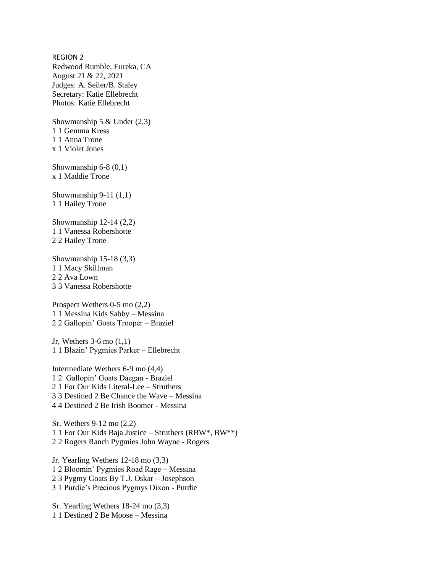REGION 2 Redwood Rumble, Eureka, CA August 21 & 22, 2021 Judges: A. Seiler/B. Staley Secretary: Katie Ellebrecht Photos: Katie Ellebrecht

Showmanship 5  $&$  Under (2,3) 1 1 Gemma Kress 1 1 Anna Trone x 1 Violet Jones

Showmanship 6-8 (0,1) x 1 Maddie Trone

Showmanship 9-11 (1,1) 1 1 Hailey Trone

Showmanship 12-14 (2,2) 1 1 Vanessa Robershotte 2 2 Hailey Trone

Showmanship 15-18 (3,3) 1 1 Macy Skillman 2 2 Ava Lown 3 3 Vanessa Robershotte

Prospect Wethers 0-5 mo (2,2) 1 1 Messina Kids Sabby – Messina 2 2 Gallopin' Goats Trooper – Braziel

Jr, Wethers 3-6 mo (1,1) 1 1 Blazin' Pygmies Parker – Ellebrecht

Intermediate Wethers 6-9 mo (4,4) 1 2 Gallopin' Goats Daegan - Braziel 2 1 For Our Kids Literal-Lee – Struthers 3 3 Destined 2 Be Chance the Wave – Messina 4 4 Destined 2 Be Irish Boomer - Messina

Sr. Wethers 9-12 mo (2,2) 1 1 For Our Kids Baja Justice – Struthers (RBW\*, BW\*\*) 2 2 Rogers Ranch Pygmies John Wayne - Rogers

Jr. Yearling Wethers 12-18 mo (3,3) 1 2 Bloomin' Pygmies Road Rage – Messina 2 3 Pygmy Goats By T.J. Oskar – Josephson 3 1 Purdie's Precious Pygmys Dixon - Purdie

Sr. Yearling Wethers 18-24 mo (3,3) 1 1 Destined 2 Be Moose – Messina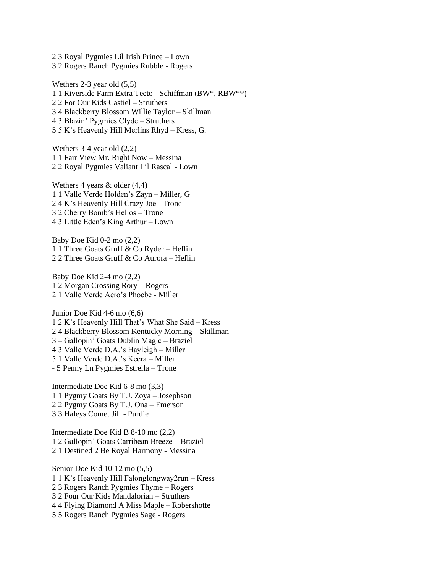2 3 Royal Pygmies Lil Irish Prince – Lown 3 2 Rogers Ranch Pygmies Rubble - Rogers

Wethers 2-3 year old (5,5) 1 1 Riverside Farm Extra Teeto - Schiffman (BW\*, RBW\*\*) 2 2 For Our Kids Castiel – Struthers 3 4 Blackberry Blossom Willie Taylor – Skillman 4 3 Blazin' Pygmies Clyde – Struthers 5 5 K's Heavenly Hill Merlins Rhyd – Kress, G.

Wethers 3-4 year old (2,2) 1 1 Fair View Mr. Right Now – Messina 2 2 Royal Pygmies Valiant Lil Rascal - Lown

Wethers 4 years & older (4,4) 1 1 Valle Verde Holden's Zayn – Miller, G 2 4 K's Heavenly Hill Crazy Joe - Trone 3 2 Cherry Bomb's Helios – Trone 4 3 Little Eden's King Arthur – Lown

Baby Doe Kid 0-2 mo (2,2) 1 1 Three Goats Gruff & Co Ryder – Heflin 2 2 Three Goats Gruff & Co Aurora – Heflin

Baby Doe Kid 2-4 mo (2,2) 1 2 Morgan Crossing Rory – Rogers 2 1 Valle Verde Aero's Phoebe - Miller

Junior Doe Kid 4-6 mo (6,6) 1 2 K's Heavenly Hill That's What She Said – Kress 2 4 Blackberry Blossom Kentucky Morning – Skillman 3 – Gallopin' Goats Dublin Magic – Braziel 4 3 Valle Verde D.A.'s Hayleigh – Miller 5 1 Valle Verde D.A.'s Keera – Miller - 5 Penny Ln Pygmies Estrella – Trone

Intermediate Doe Kid 6-8 mo (3,3) 1 1 Pygmy Goats By T.J. Zoya – Josephson 2 2 Pygmy Goats By T.J. Ona – Emerson 3 3 Haleys Comet Jill - Purdie

Intermediate Doe Kid B 8-10 mo (2,2) 1 2 Gallopin' Goats Carribean Breeze – Braziel 2 1 Destined 2 Be Royal Harmony - Messina

Senior Doe Kid 10-12 mo (5,5) 1 1 K's Heavenly Hill Falonglongway2run – Kress 2 3 Rogers Ranch Pygmies Thyme – Rogers 3 2 Four Our Kids Mandalorian – Struthers 4 4 Flying Diamond A Miss Maple – Robershotte 5 5 Rogers Ranch Pygmies Sage - Rogers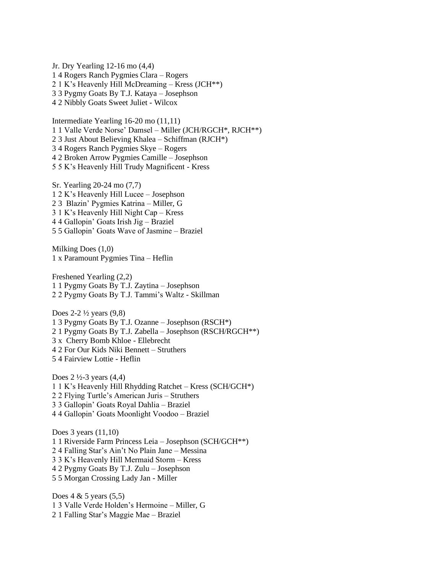Jr. Dry Yearling 12-16 mo (4,4) 1 4 Rogers Ranch Pygmies Clara – Rogers 2 1 K's Heavenly Hill McDreaming – Kress (JCH\*\*) 3 3 Pygmy Goats By T.J. Kataya – Josephson 4 2 Nibbly Goats Sweet Juliet - Wilcox

Intermediate Yearling 16-20 mo (11,11) 1 1 Valle Verde Norse' Damsel – Miller (JCH/RGCH\*, RJCH\*\*) 2 3 Just About Believing Khalea – Schiffman (RJCH\*) 3 4 Rogers Ranch Pygmies Skye – Rogers 4 2 Broken Arrow Pygmies Camille – Josephson 5 5 K's Heavenly Hill Trudy Magnificent - Kress

Sr. Yearling 20-24 mo (7,7) 1 2 K's Heavenly Hill Lucee – Josephson 2 3 Blazin' Pygmies Katrina – Miller, G 3 1 K's Heavenly Hill Night Cap – Kress 4 4 Gallopin' Goats Irish Jig – Braziel 5 5 Gallopin' Goats Wave of Jasmine – Braziel

Milking Does (1,0) 1 x Paramount Pygmies Tina – Heflin

Freshened Yearling (2,2) 1 1 Pygmy Goats By T.J. Zaytina – Josephson 2 2 Pygmy Goats By T.J. Tammi's Waltz - Skillman

Does  $2-2\frac{1}{2}$  years  $(9,8)$ 1 3 Pygmy Goats By T.J. Ozanne – Josephson (RSCH\*) 2 1 Pygmy Goats By T.J. Zabella – Josephson (RSCH/RGCH\*\*) 3 x Cherry Bomb Khloe - Ellebrecht 4 2 For Our Kids Niki Bennett – Struthers 5 4 Fairview Lottie - Heflin

Does 2 ½-3 years (4,4) 1 1 K's Heavenly Hill Rhydding Ratchet – Kress (SCH/GCH\*) 2 2 Flying Turtle's American Juris – Struthers 3 3 Gallopin' Goats Royal Dahlia – Braziel 4 4 Gallopin' Goats Moonlight Voodoo – Braziel

Does 3 years (11,10) 1 1 Riverside Farm Princess Leia – Josephson (SCH/GCH\*\*) 2 4 Falling Star's Ain't No Plain Jane – Messina 3 3 K's Heavenly Hill Mermaid Storm – Kress 4 2 Pygmy Goats By T.J. Zulu – Josephson 5 5 Morgan Crossing Lady Jan - Miller

Does  $4 \& 5$  years  $(5,5)$ 1 3 Valle Verde Holden's Hermoine – Miller, G 2 1 Falling Star's Maggie Mae – Braziel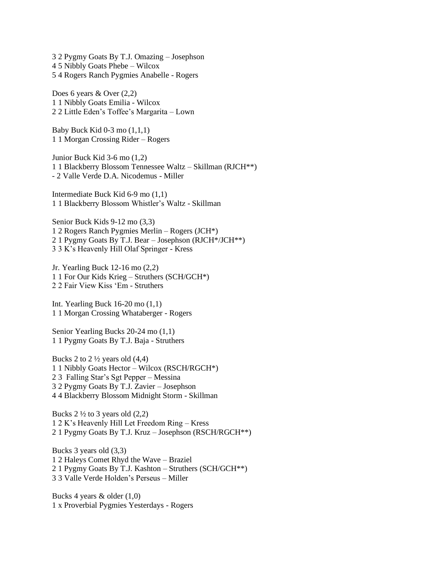3 2 Pygmy Goats By T.J. Omazing – Josephson 4 5 Nibbly Goats Phebe – Wilcox 5 4 Rogers Ranch Pygmies Anabelle - Rogers

Does 6 years & Over (2,2) 1 1 Nibbly Goats Emilia - Wilcox 2 2 Little Eden's Toffee's Margarita – Lown

Baby Buck Kid  $0-3$  mo  $(1,1,1)$ 1 1 Morgan Crossing Rider – Rogers

Junior Buck Kid 3-6 mo (1,2) 1 1 Blackberry Blossom Tennessee Waltz – Skillman (RJCH\*\*) - 2 Valle Verde D.A. Nicodemus - Miller

Intermediate Buck Kid 6-9 mo (1,1) 1 1 Blackberry Blossom Whistler's Waltz - Skillman

Senior Buck Kids 9-12 mo (3,3) 1 2 Rogers Ranch Pygmies Merlin – Rogers (JCH\*) 2 1 Pygmy Goats By T.J. Bear – Josephson (RJCH\*/JCH\*\*) 3 3 K's Heavenly Hill Olaf Springer - Kress

Jr. Yearling Buck 12-16 mo (2,2) 1 1 For Our Kids Krieg – Struthers (SCH/GCH\*) 2 2 Fair View Kiss 'Em - Struthers

Int. Yearling Buck 16-20 mo (1,1) 1 1 Morgan Crossing Whataberger - Rogers

Senior Yearling Bucks 20-24 mo (1,1) 1 1 Pygmy Goats By T.J. Baja - Struthers

Bucks 2 to  $2\frac{1}{2}$  years old  $(4,4)$ 1 1 Nibbly Goats Hector – Wilcox (RSCH/RGCH\*) 2 3 Falling Star's Sgt Pepper – Messina 3 2 Pygmy Goats By T.J. Zavier – Josephson 4 4 Blackberry Blossom Midnight Storm - Skillman

Bucks  $2 \frac{1}{2}$  to 3 years old  $(2,2)$ 1 2 K's Heavenly Hill Let Freedom Ring – Kress 2 1 Pygmy Goats By T.J. Kruz – Josephson (RSCH/RGCH\*\*)

Bucks 3 years old (3,3) 1 2 Haleys Comet Rhyd the Wave – Braziel 2 1 Pygmy Goats By T.J. Kashton – Struthers (SCH/GCH\*\*) 3 3 Valle Verde Holden's Perseus – Miller

Bucks 4 years & older (1,0) 1 x Proverbial Pygmies Yesterdays - Rogers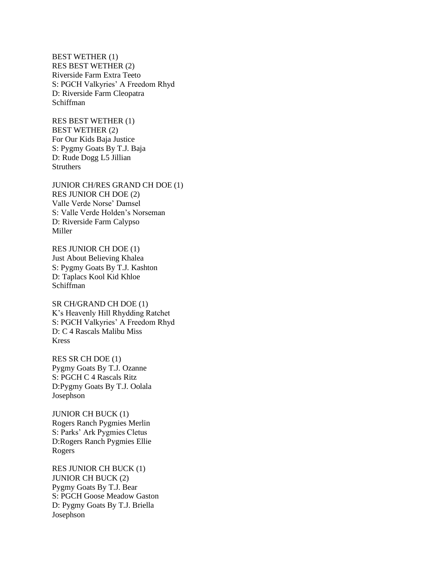BEST WETHER (1) RES BEST WETHER (2) Riverside Farm Extra Teeto S: PGCH Valkyries' A Freedom Rhyd D: Riverside Farm Cleopatra Schiffman

RES BEST WETHER (1) BEST WETHER (2) For Our Kids Baja Justice S: Pygmy Goats By T.J. Baja D: Rude Dogg L5 Jillian **Struthers** 

JUNIOR CH/RES GRAND CH DOE (1) RES JUNIOR CH DOE (2) Valle Verde Norse' Damsel S: Valle Verde Holden's Norseman D: Riverside Farm Calypso Miller

RES JUNIOR CH DOE (1) Just About Believing Khalea S: Pygmy Goats By T.J. Kashton D: Taplacs Kool Kid Khloe Schiffman

SR CH/GRAND CH DOE (1) K's Heavenly Hill Rhydding Ratchet S: PGCH Valkyries' A Freedom Rhyd D: C 4 Rascals Malibu Miss Kress

RES SR CH DOE (1) Pygmy Goats By T.J. Ozanne S: PGCH C 4 Rascals Ritz D:Pygmy Goats By T.J. Oolala Josephson

JUNIOR CH BUCK (1) Rogers Ranch Pygmies Merlin S: Parks' Ark Pygmies Cletus D:Rogers Ranch Pygmies Ellie Rogers

RES JUNIOR CH BUCK (1) JUNIOR CH BUCK (2) Pygmy Goats By T.J. Bear S: PGCH Goose Meadow Gaston D: Pygmy Goats By T.J. Briella Josephson